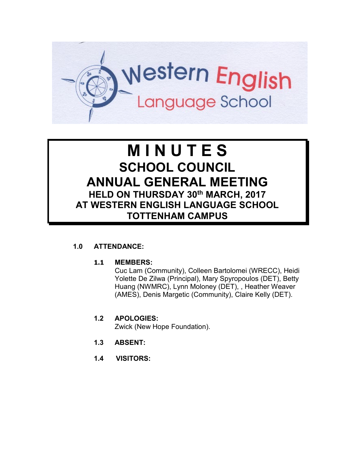

# **M I N U T E S SCHOOL COUNCIL ANNUAL GENERAL MEETING HELD ON THURSDAY 30th MARCH, 2017 AT WESTERN ENGLISH LANGUAGE SCHOOL TOTTENHAM CAMPUS**

## **1.0 ATTENDANCE:**

#### **1.1 MEMBERS:**

Cuc Lam (Community), Colleen Bartolomei (WRECC), Heidi Yolette De Zilwa (Principal), Mary Spyropoulos (DET), Betty Huang (NWMRC), Lynn Moloney (DET), , Heather Weaver (AMES), Denis Margetic (Community), Claire Kelly (DET).

# **1.2 APOLOGIES:**

Zwick (New Hope Foundation).

- **1.3 ABSENT:**
- **1.4 VISITORS:**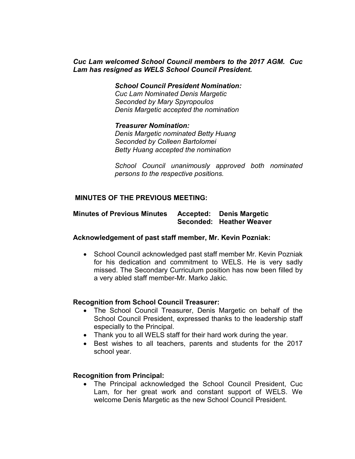#### *Cuc Lam welcomed School Council members to the 2017 AGM. Cuc Lam has resigned as WELS School Council President.*

*School Council President Nomination:*

*Cuc Lam Nominated Denis Margetic Seconded by Mary Spyropoulos Denis Margetic accepted the nomination*

#### *Treasurer Nomination:*

*Denis Margetic nominated Betty Huang Seconded by Colleen Bartolomei Betty Huang accepted the nomination*

*School Council unanimously approved both nominated persons to the respective positions.*

#### **MINUTES OF THE PREVIOUS MEETING:**

# **Minutes of Previous Minutes Accepted: Denis Margetic Seconded: Heather Weaver**

#### **Acknowledgement of past staff member, Mr. Kevin Pozniak:**

• School Council acknowledged past staff member Mr. Kevin Pozniak for his dedication and commitment to WELS. He is very sadly missed. The Secondary Curriculum position has now been filled by a very abled staff member-Mr. Marko Jakic.

#### **Recognition from School Council Treasurer:**

- The School Council Treasurer, Denis Margetic on behalf of the School Council President, expressed thanks to the leadership staff especially to the Principal.
- Thank you to all WELS staff for their hard work during the year.
- Best wishes to all teachers, parents and students for the 2017 school year.

#### **Recognition from Principal:**

• The Principal acknowledged the School Council President, Cuc Lam, for her great work and constant support of WELS. We welcome Denis Margetic as the new School Council President.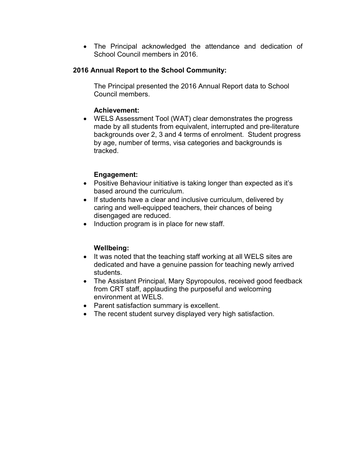• The Principal acknowledged the attendance and dedication of School Council members in 2016.

## **2016 Annual Report to the School Community:**

The Principal presented the 2016 Annual Report data to School Council members.

#### **Achievement:**

• WELS Assessment Tool (WAT) clear demonstrates the progress made by all students from equivalent, interrupted and pre-literature backgrounds over 2, 3 and 4 terms of enrolment. Student progress by age, number of terms, visa categories and backgrounds is tracked.

#### **Engagement:**

- Positive Behaviour initiative is taking longer than expected as it's based around the curriculum.
- If students have a clear and inclusive curriculum, delivered by caring and well-equipped teachers, their chances of being disengaged are reduced.
- Induction program is in place for new staff.

#### **Wellbeing:**

- It was noted that the teaching staff working at all WELS sites are dedicated and have a genuine passion for teaching newly arrived students.
- The Assistant Principal, Mary Spyropoulos, received good feedback from CRT staff, applauding the purposeful and welcoming environment at WELS.
- Parent satisfaction summary is excellent.
- The recent student survey displayed very high satisfaction.